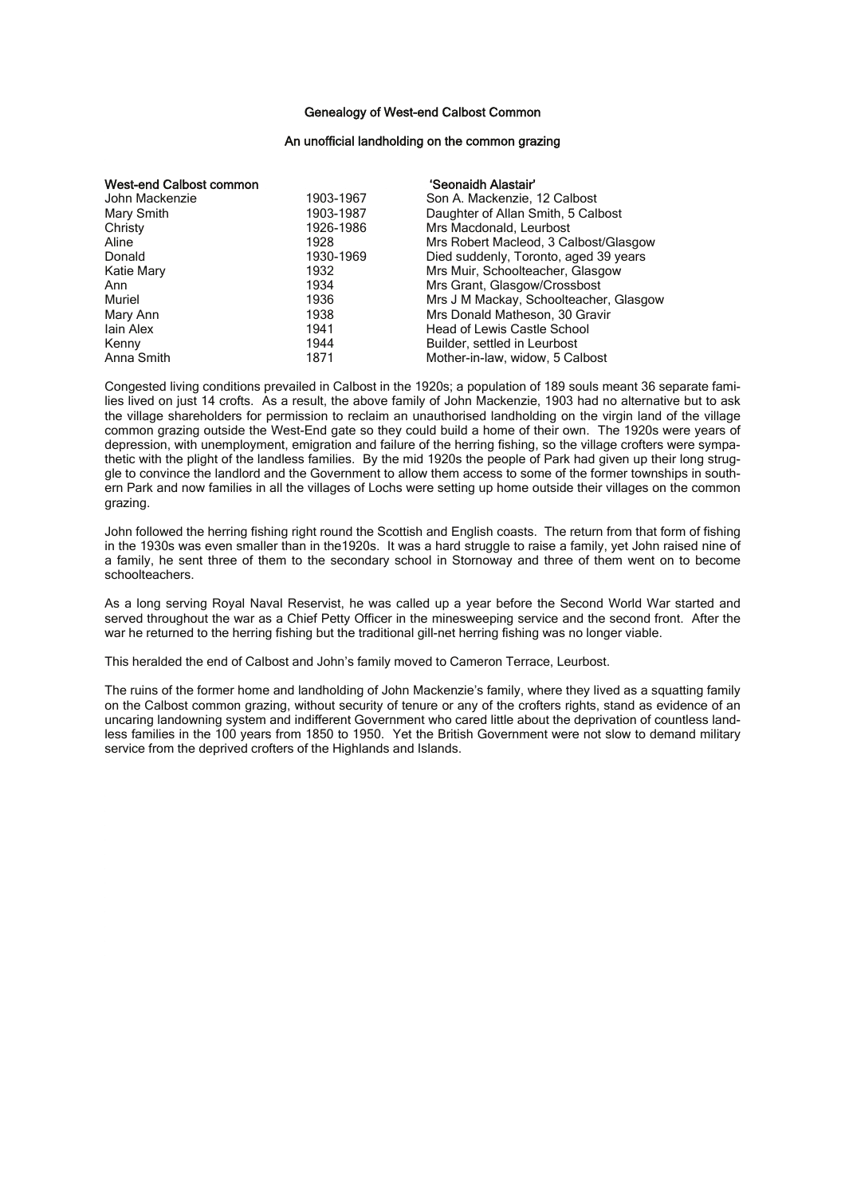## Genealogy of West-end Calbost Common

## An unofficial landholding on the common grazing

| <b>West-end Calbost common</b> |           | 'Seonaidh Alastair'                    |
|--------------------------------|-----------|----------------------------------------|
| John Mackenzie                 | 1903-1967 | Son A. Mackenzie, 12 Calbost           |
| Mary Smith                     | 1903-1987 | Daughter of Allan Smith, 5 Calbost     |
| Christy                        | 1926-1986 | Mrs Macdonald, Leurbost                |
| Aline                          | 1928      | Mrs Robert Macleod, 3 Calbost/Glasgow  |
| Donald                         | 1930-1969 | Died suddenly, Toronto, aged 39 years  |
| Katie Mary                     | 1932      | Mrs Muir, Schoolteacher, Glasgow       |
| Ann                            | 1934      | Mrs Grant, Glasgow/Crossbost           |
| Muriel                         | 1936      | Mrs J M Mackay, Schoolteacher, Glasgow |
| Mary Ann                       | 1938      | Mrs Donald Matheson, 30 Gravir         |
| lain Alex                      | 1941      | Head of Lewis Castle School            |
| Kenny                          | 1944      | Builder, settled in Leurbost           |
| Anna Smith                     | 1871      | Mother-in-law, widow, 5 Calbost        |

Congested living conditions prevailed in Calbost in the 1920s; a population of 189 souls meant 36 separate families lived on just 14 crofts. As a result, the above family of John Mackenzie, 1903 had no alternative but to ask the village shareholders for permission to reclaim an unauthorised landholding on the virgin land of the village common grazing outside the West-End gate so they could build a home of their own. The 1920s were years of depression, with unemployment, emigration and failure of the herring fishing, so the village crofters were sympathetic with the plight of the landless families. By the mid 1920s the people of Park had given up their long struggle to convince the landlord and the Government to allow them access to some of the former townships in southern Park and now families in all the villages of Lochs were setting up home outside their villages on the common grazing.

John followed the herring fishing right round the Scottish and English coasts. The return from that form of fishing in the 1930s was even smaller than in the1920s. It was a hard struggle to raise a family, yet John raised nine of a family, he sent three of them to the secondary school in Stornoway and three of them went on to become schoolteachers.

As a long serving Royal Naval Reservist, he was called up a year before the Second World War started and served throughout the war as a Chief Petty Officer in the minesweeping service and the second front. After the war he returned to the herring fishing but the traditional gill-net herring fishing was no longer viable.

This heralded the end of Calbost and John's family moved to Cameron Terrace, Leurbost.

The ruins of the former home and landholding of John Mackenzie's family, where they lived as a squatting family on the Calbost common grazing, without security of tenure or any of the crofters rights, stand as evidence of an uncaring landowning system and indifferent Government who cared little about the deprivation of countless landless families in the 100 years from 1850 to 1950. Yet the British Government were not slow to demand military service from the deprived crofters of the Highlands and Islands.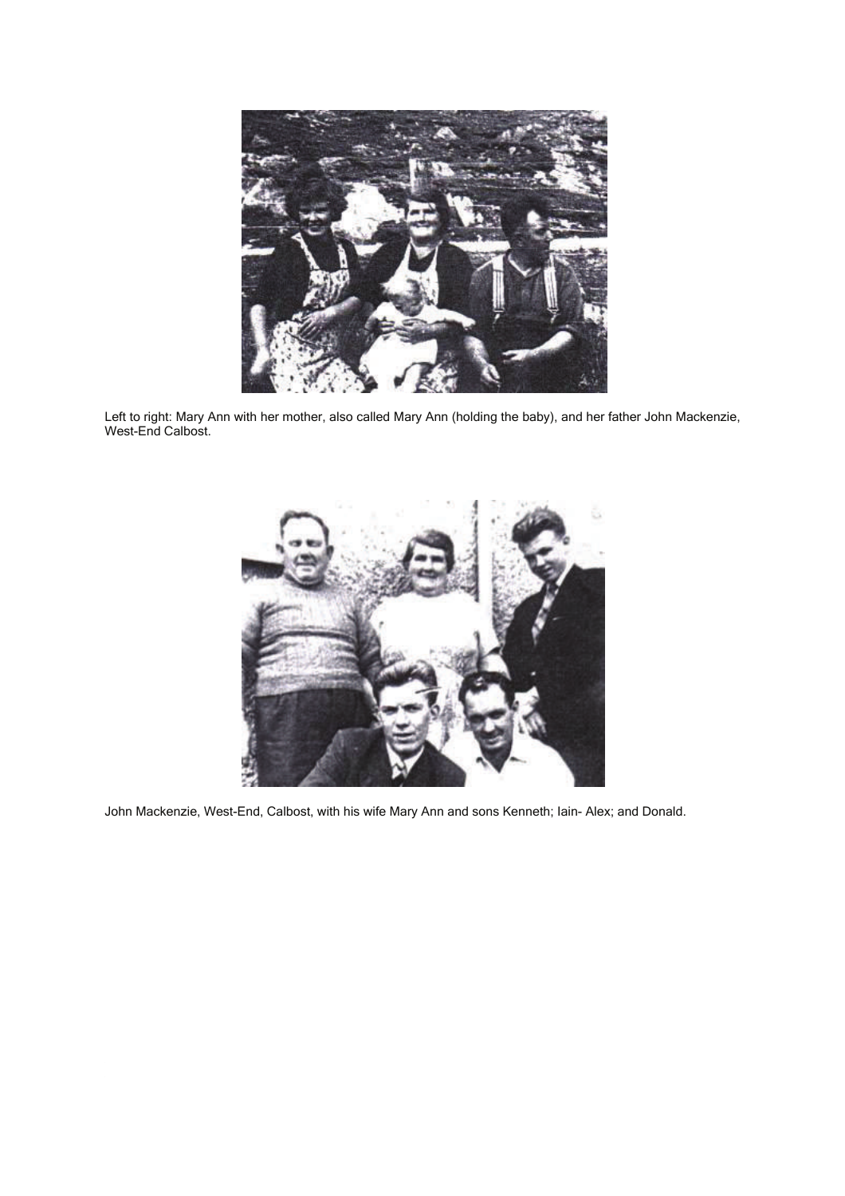

Left to right: Mary Ann with her mother, also called Mary Ann (holding the baby), and her father John Mackenzie, West-End Calbost.



John Mackenzie, West-End, Calbost, with his wife Mary Ann and sons Kenneth; Iain- Alex; and Donald.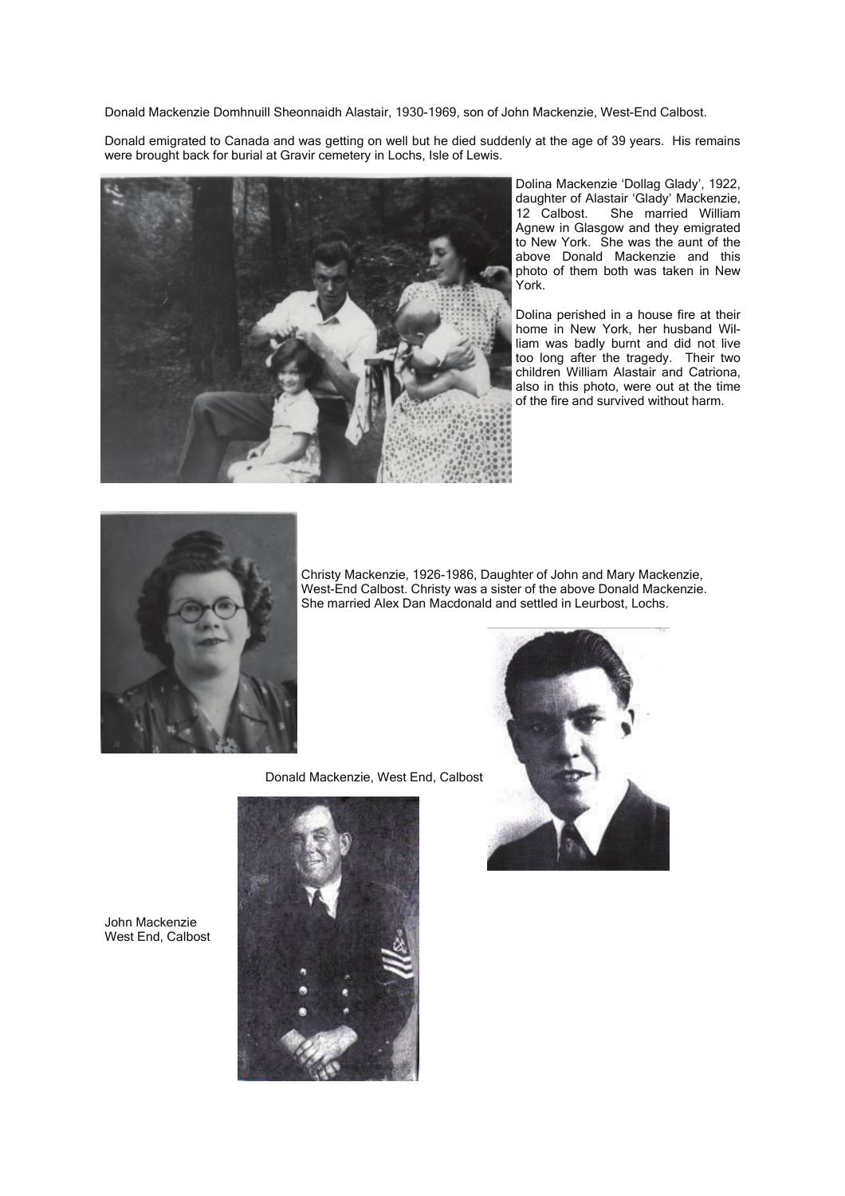Donald Mackenzie Domhnuill Sheonnaidh Alastair, 1930-1969, son of John Mackenzie, West-End Calbost.

Donald emigrated to Canada and was getting on well but he died suddenly at the age of 39 years. His remains were brought back for burial at Gravir cemetery in Lochs, Isle of Lewis.



Dolina Mackenzie 'Dollag Glady', 1922, daughter of Alastair 'Glady' Mackenzie,<br>12 Calbost. She married William She married William Agnew in Glasgow and they emigrated to New York. She was the aunt of the above Donald Mackenzie and this photo of them both was taken in New York.

Dolina perished in a house fire at their home in New York, her husband William was badly burnt and did not live too long after the tragedy. Their two children William Alastair and Catriona, also in this photo, were out at the time of the fire and survived without harm.



Christy Mackenzie, 1926-1986, Daughter of John and Mary Mackenzie, West-End Calbost. Christy was a sister of the above Donald Mackenzie. She married Alex Dan Macdonald and settled in Leurbost, Lochs.

Donald Mackenzie, West End, Calbost





John Mackenzie West End, Calbost